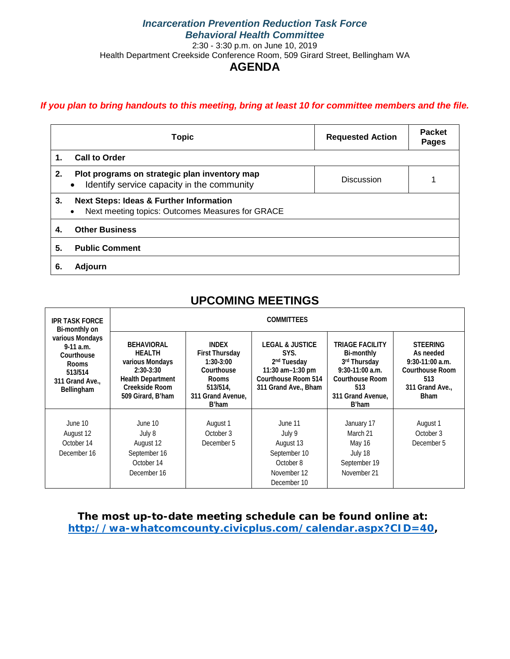## *If you plan to bring handouts to this meeting, bring at least 10 for committee members and the file.*

| <b>Topic</b>                                                                                                              |  | <b>Requested Action</b> | <b>Packet</b><br><b>Pages</b> |  |  |
|---------------------------------------------------------------------------------------------------------------------------|--|-------------------------|-------------------------------|--|--|
| <b>Call to Order</b><br>1.                                                                                                |  |                         |                               |  |  |
| 2.<br>Plot programs on strategic plan inventory map<br>Identify service capacity in the community                         |  | Discussion              |                               |  |  |
| 3.<br><b>Next Steps: Ideas &amp; Further Information</b><br>Next meeting topics: Outcomes Measures for GRACE<br>$\bullet$ |  |                         |                               |  |  |
| <b>Other Business</b><br>4.                                                                                               |  |                         |                               |  |  |
| 5.<br><b>Public Comment</b>                                                                                               |  |                         |                               |  |  |
| 6.<br>Adjourn                                                                                                             |  |                         |                               |  |  |

## **UPCOMING MEETINGS**

| <b>IPR TASK FORCE</b><br>Bi-monthly on<br>various Mondays<br>$9-11$ a.m.<br>Courthouse<br>Rooms<br>513/514<br>311 Grand Ave<br>Bellingham | <b>COMMITTEES</b>                                                                                                                       |                                                                                                                              |                                                                                                                                  |                                                                                                                                   |                                                                                                                      |  |
|-------------------------------------------------------------------------------------------------------------------------------------------|-----------------------------------------------------------------------------------------------------------------------------------------|------------------------------------------------------------------------------------------------------------------------------|----------------------------------------------------------------------------------------------------------------------------------|-----------------------------------------------------------------------------------------------------------------------------------|----------------------------------------------------------------------------------------------------------------------|--|
|                                                                                                                                           | <b>BEHAVIORAL</b><br><b>HEALTH</b><br>various Mondays<br>$2:30-3:30$<br><b>Health Department</b><br>Creekside Room<br>509 Girard, B'ham | <b>INDEX</b><br><b>First Thursday</b><br>$1:30-3:00$<br>Courthouse<br><b>Rooms</b><br>513/514,<br>311 Grand Avenue.<br>B'ham | <b>LEGAL &amp; JUSTICE</b><br>SYS.<br>2 <sup>nd</sup> Tuesday<br>11:30 am-1:30 pm<br>Courthouse Room 514<br>311 Grand Ave., Bham | TRIAGE FACILITY<br>Bi-monthly<br>3rd Thursday<br>$9:30-11:00$ a.m.<br><b>Courthouse Room</b><br>513<br>311 Grand Avenue,<br>B'ham | <b>STEERING</b><br>As needed<br>$9:30-11:00$ a.m.<br><b>Courthouse Room</b><br>513<br>311 Grand Ave.,<br><b>Bham</b> |  |
| June 10<br>August 12<br>October 14<br>December 16                                                                                         | June 10<br>July 8<br>August 12<br>September 16<br>October 14<br>December 16                                                             | August 1<br>October 3<br>December 5                                                                                          | June 11<br>July 9<br>August 13<br>September 10<br>October 8<br>November 12<br>December 10                                        | January 17<br>March 21<br>May 16<br>July 18<br>September 19<br>November 21                                                        | August 1<br>October 3<br>December 5                                                                                  |  |

**The most up-to-date meeting schedule can be found online at: [http://wa-whatcomcounty.civicplus.com/calendar.aspx?CID=40,](http://wa-whatcomcounty.civicplus.com/calendar.aspx?CID=40)**